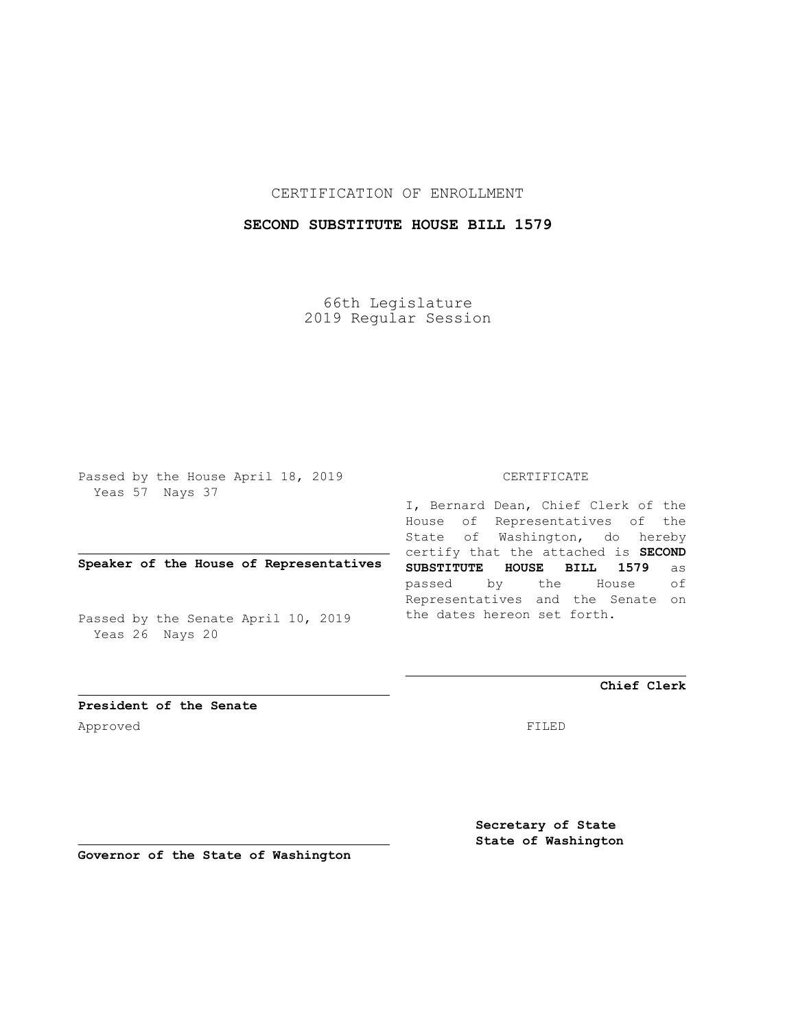CERTIFICATION OF ENROLLMENT

## **SECOND SUBSTITUTE HOUSE BILL 1579**

66th Legislature 2019 Regular Session

Passed by the House April 18, 2019 Yeas 57 Nays 37

**Speaker of the House of Representatives**

Passed by the Senate April 10, 2019 Yeas 26 Nays 20

CERTIFICATE

I, Bernard Dean, Chief Clerk of the House of Representatives of the State of Washington, do hereby certify that the attached is **SECOND SUBSTITUTE HOUSE BILL 1579** as passed by the House of Representatives and the Senate on the dates hereon set forth.

**Chief Clerk**

**President of the Senate** Approved FILED

**Secretary of State State of Washington**

**Governor of the State of Washington**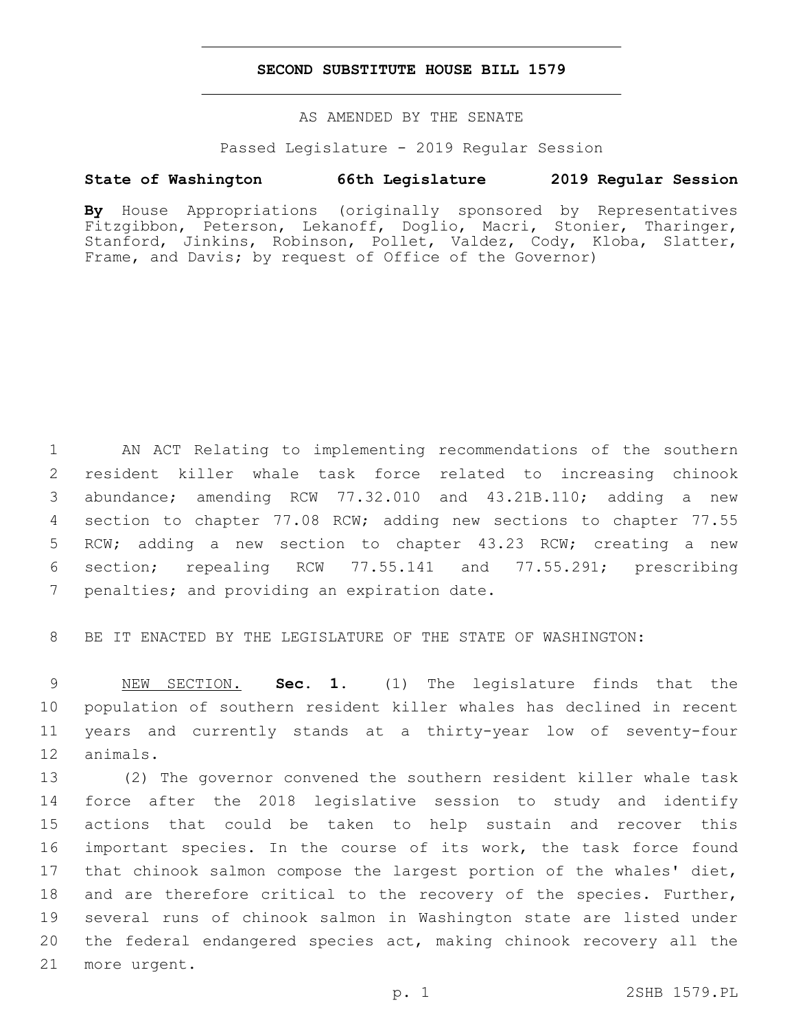## **SECOND SUBSTITUTE HOUSE BILL 1579**

AS AMENDED BY THE SENATE

Passed Legislature - 2019 Regular Session

## **State of Washington 66th Legislature 2019 Regular Session**

**By** House Appropriations (originally sponsored by Representatives Fitzgibbon, Peterson, Lekanoff, Doglio, Macri, Stonier, Tharinger, Stanford, Jinkins, Robinson, Pollet, Valdez, Cody, Kloba, Slatter, Frame, and Davis; by request of Office of the Governor)

 AN ACT Relating to implementing recommendations of the southern resident killer whale task force related to increasing chinook abundance; amending RCW 77.32.010 and 43.21B.110; adding a new section to chapter 77.08 RCW; adding new sections to chapter 77.55 RCW; adding a new section to chapter 43.23 RCW; creating a new section; repealing RCW 77.55.141 and 77.55.291; prescribing 7 penalties; and providing an expiration date.

8 BE IT ENACTED BY THE LEGISLATURE OF THE STATE OF WASHINGTON:

 NEW SECTION. **Sec. 1.** (1) The legislature finds that the population of southern resident killer whales has declined in recent years and currently stands at a thirty-year low of seventy-four 12 animals.

 (2) The governor convened the southern resident killer whale task force after the 2018 legislative session to study and identify actions that could be taken to help sustain and recover this important species. In the course of its work, the task force found 17 that chinook salmon compose the largest portion of the whales' diet, 18 and are therefore critical to the recovery of the species. Further, several runs of chinook salmon in Washington state are listed under the federal endangered species act, making chinook recovery all the 21 more urgent.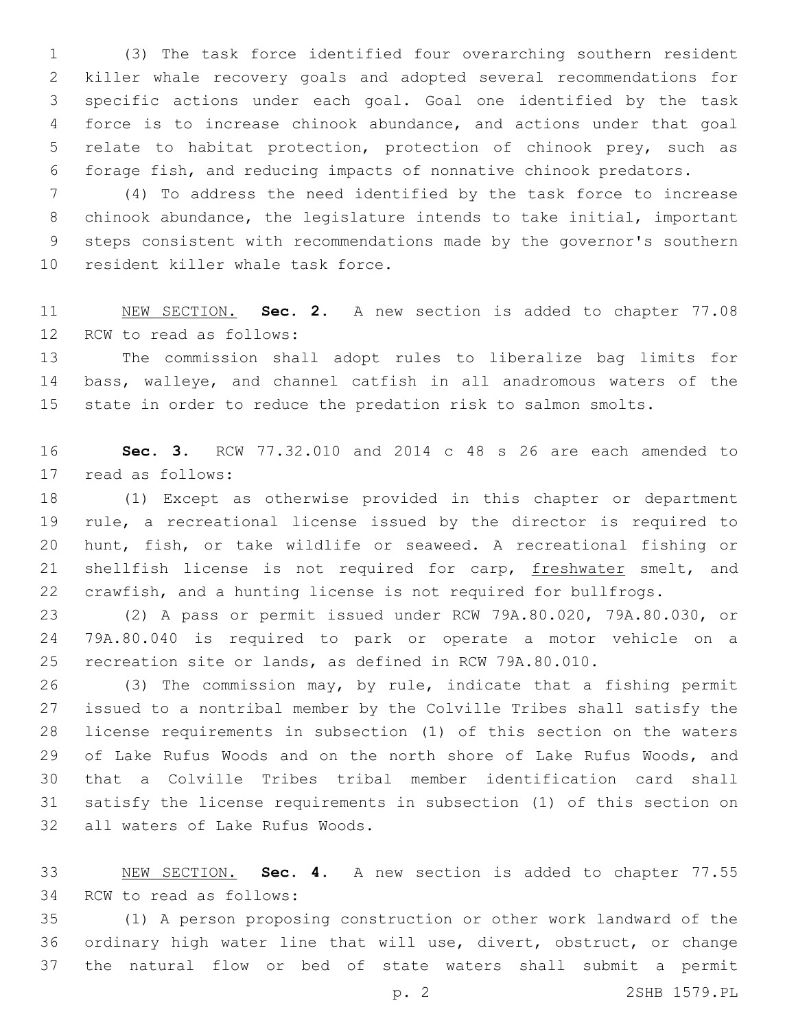(3) The task force identified four overarching southern resident killer whale recovery goals and adopted several recommendations for specific actions under each goal. Goal one identified by the task force is to increase chinook abundance, and actions under that goal relate to habitat protection, protection of chinook prey, such as forage fish, and reducing impacts of nonnative chinook predators.

 (4) To address the need identified by the task force to increase chinook abundance, the legislature intends to take initial, important steps consistent with recommendations made by the governor's southern 10 resident killer whale task force.

 NEW SECTION. **Sec. 2.** A new section is added to chapter 77.08 12 RCW to read as follows:

 The commission shall adopt rules to liberalize bag limits for bass, walleye, and channel catfish in all anadromous waters of the state in order to reduce the predation risk to salmon smolts.

 **Sec. 3.** RCW 77.32.010 and 2014 c 48 s 26 are each amended to 17 read as follows:

 (1) Except as otherwise provided in this chapter or department rule, a recreational license issued by the director is required to hunt, fish, or take wildlife or seaweed. A recreational fishing or 21 shellfish license is not required for carp, freshwater smelt, and crawfish, and a hunting license is not required for bullfrogs.

 (2) A pass or permit issued under RCW 79A.80.020, 79A.80.030, or 79A.80.040 is required to park or operate a motor vehicle on a recreation site or lands, as defined in RCW 79A.80.010.

 (3) The commission may, by rule, indicate that a fishing permit issued to a nontribal member by the Colville Tribes shall satisfy the license requirements in subsection (1) of this section on the waters of Lake Rufus Woods and on the north shore of Lake Rufus Woods, and that a Colville Tribes tribal member identification card shall satisfy the license requirements in subsection (1) of this section on 32 all waters of Lake Rufus Woods.

 NEW SECTION. **Sec. 4.** A new section is added to chapter 77.55 34 RCW to read as follows:

 (1) A person proposing construction or other work landward of the ordinary high water line that will use, divert, obstruct, or change the natural flow or bed of state waters shall submit a permit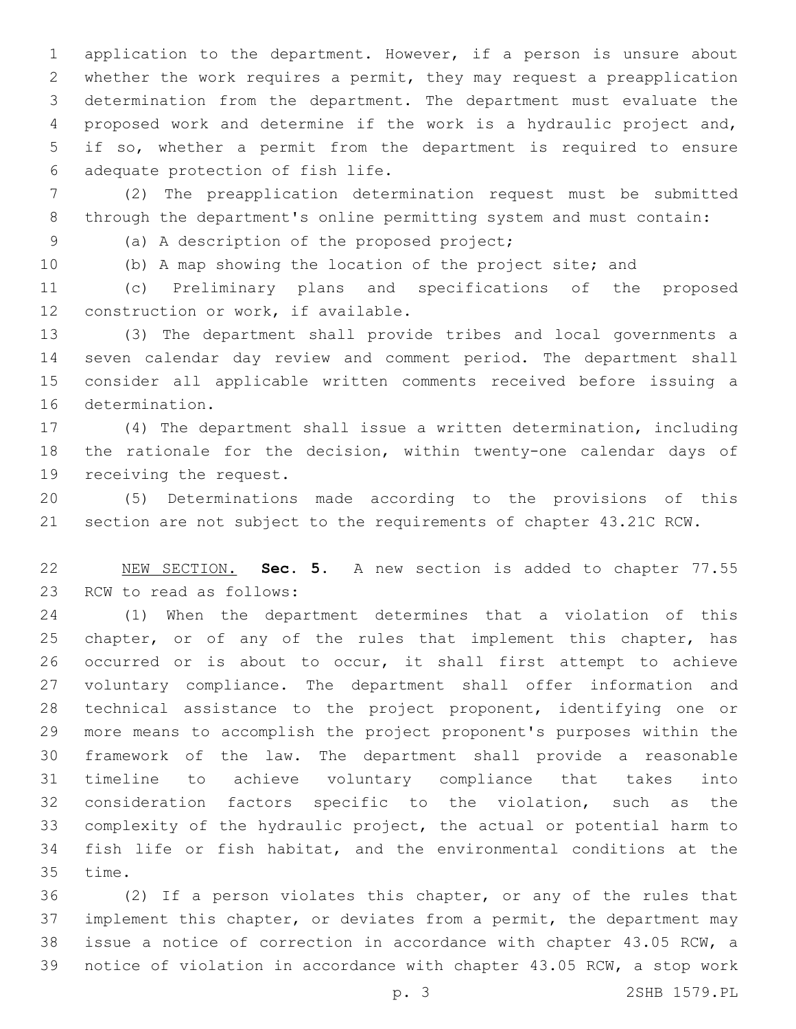application to the department. However, if a person is unsure about whether the work requires a permit, they may request a preapplication determination from the department. The department must evaluate the proposed work and determine if the work is a hydraulic project and, if so, whether a permit from the department is required to ensure 6 adequate protection of fish life.

 (2) The preapplication determination request must be submitted through the department's online permitting system and must contain:

9 (a) A description of the proposed project;

(b) A map showing the location of the project site; and

 (c) Preliminary plans and specifications of the proposed 12 construction or work, if available.

 (3) The department shall provide tribes and local governments a seven calendar day review and comment period. The department shall consider all applicable written comments received before issuing a 16 determination.

 (4) The department shall issue a written determination, including the rationale for the decision, within twenty-one calendar days of 19 receiving the request.

 (5) Determinations made according to the provisions of this section are not subject to the requirements of chapter 43.21C RCW.

 NEW SECTION. **Sec. 5.** A new section is added to chapter 77.55 23 RCW to read as follows:

 (1) When the department determines that a violation of this 25 chapter, or of any of the rules that implement this chapter, has occurred or is about to occur, it shall first attempt to achieve voluntary compliance. The department shall offer information and technical assistance to the project proponent, identifying one or more means to accomplish the project proponent's purposes within the framework of the law. The department shall provide a reasonable timeline to achieve voluntary compliance that takes into consideration factors specific to the violation, such as the complexity of the hydraulic project, the actual or potential harm to fish life or fish habitat, and the environmental conditions at the 35 time.

 (2) If a person violates this chapter, or any of the rules that 37 implement this chapter, or deviates from a permit, the department may issue a notice of correction in accordance with chapter 43.05 RCW, a notice of violation in accordance with chapter 43.05 RCW, a stop work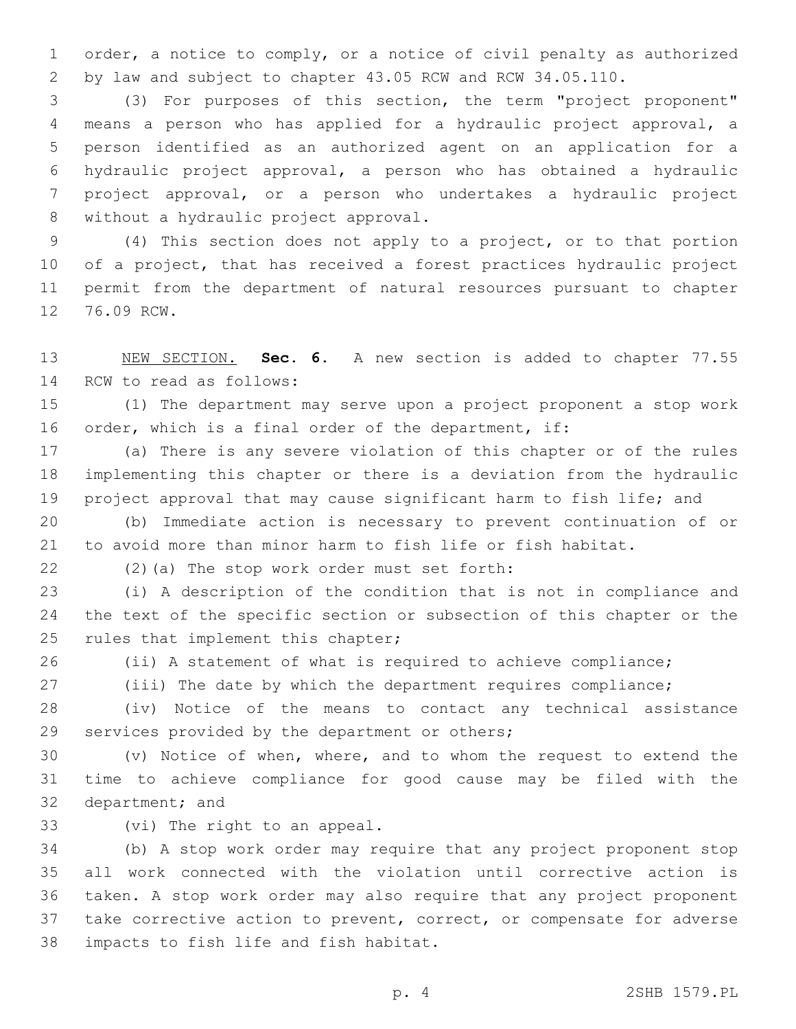order, a notice to comply, or a notice of civil penalty as authorized by law and subject to chapter 43.05 RCW and RCW 34.05.110.

 (3) For purposes of this section, the term "project proponent" means a person who has applied for a hydraulic project approval, a person identified as an authorized agent on an application for a hydraulic project approval, a person who has obtained a hydraulic project approval, or a person who undertakes a hydraulic project 8 without a hydraulic project approval.

 (4) This section does not apply to a project, or to that portion of a project, that has received a forest practices hydraulic project permit from the department of natural resources pursuant to chapter 12 76.09 RCW.

 NEW SECTION. **Sec. 6.** A new section is added to chapter 77.55 14 RCW to read as follows:

 (1) The department may serve upon a project proponent a stop work order, which is a final order of the department, if:

 (a) There is any severe violation of this chapter or of the rules implementing this chapter or there is a deviation from the hydraulic project approval that may cause significant harm to fish life; and

 (b) Immediate action is necessary to prevent continuation of or to avoid more than minor harm to fish life or fish habitat.

(2)(a) The stop work order must set forth:22

 (i) A description of the condition that is not in compliance and the text of the specific section or subsection of this chapter or the 25 rules that implement this chapter;

(ii) A statement of what is required to achieve compliance;

(iii) The date by which the department requires compliance;

 (iv) Notice of the means to contact any technical assistance 29 services provided by the department or others;

 (v) Notice of when, where, and to whom the request to extend the time to achieve compliance for good cause may be filed with the 32 department; and

33 (vi) The right to an appeal.

 (b) A stop work order may require that any project proponent stop all work connected with the violation until corrective action is taken. A stop work order may also require that any project proponent take corrective action to prevent, correct, or compensate for adverse 38 impacts to fish life and fish habitat.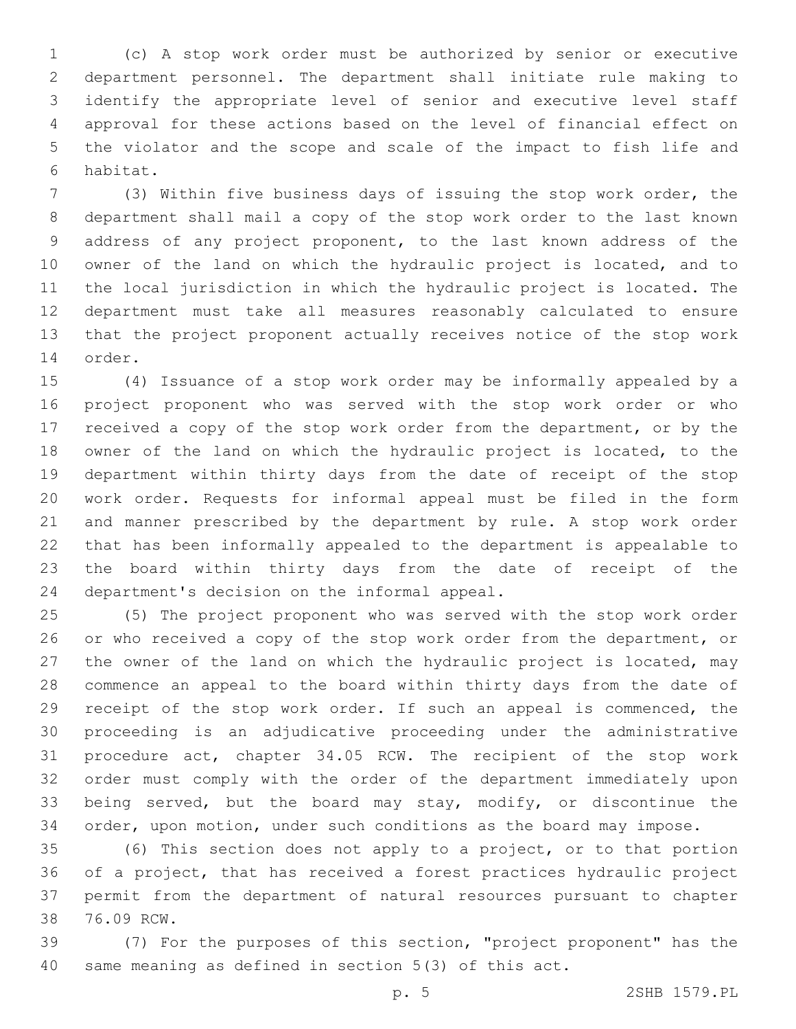(c) A stop work order must be authorized by senior or executive department personnel. The department shall initiate rule making to identify the appropriate level of senior and executive level staff approval for these actions based on the level of financial effect on the violator and the scope and scale of the impact to fish life and 6 habitat.

 (3) Within five business days of issuing the stop work order, the department shall mail a copy of the stop work order to the last known address of any project proponent, to the last known address of the owner of the land on which the hydraulic project is located, and to the local jurisdiction in which the hydraulic project is located. The department must take all measures reasonably calculated to ensure that the project proponent actually receives notice of the stop work 14 order.

 (4) Issuance of a stop work order may be informally appealed by a project proponent who was served with the stop work order or who received a copy of the stop work order from the department, or by the owner of the land on which the hydraulic project is located, to the department within thirty days from the date of receipt of the stop work order. Requests for informal appeal must be filed in the form and manner prescribed by the department by rule. A stop work order that has been informally appealed to the department is appealable to the board within thirty days from the date of receipt of the 24 department's decision on the informal appeal.

 (5) The project proponent who was served with the stop work order 26 or who received a copy of the stop work order from the department, or the owner of the land on which the hydraulic project is located, may commence an appeal to the board within thirty days from the date of receipt of the stop work order. If such an appeal is commenced, the proceeding is an adjudicative proceeding under the administrative procedure act, chapter 34.05 RCW. The recipient of the stop work order must comply with the order of the department immediately upon being served, but the board may stay, modify, or discontinue the order, upon motion, under such conditions as the board may impose.

 (6) This section does not apply to a project, or to that portion of a project, that has received a forest practices hydraulic project permit from the department of natural resources pursuant to chapter 38 76.09 RCW.

 (7) For the purposes of this section, "project proponent" has the same meaning as defined in section 5(3) of this act.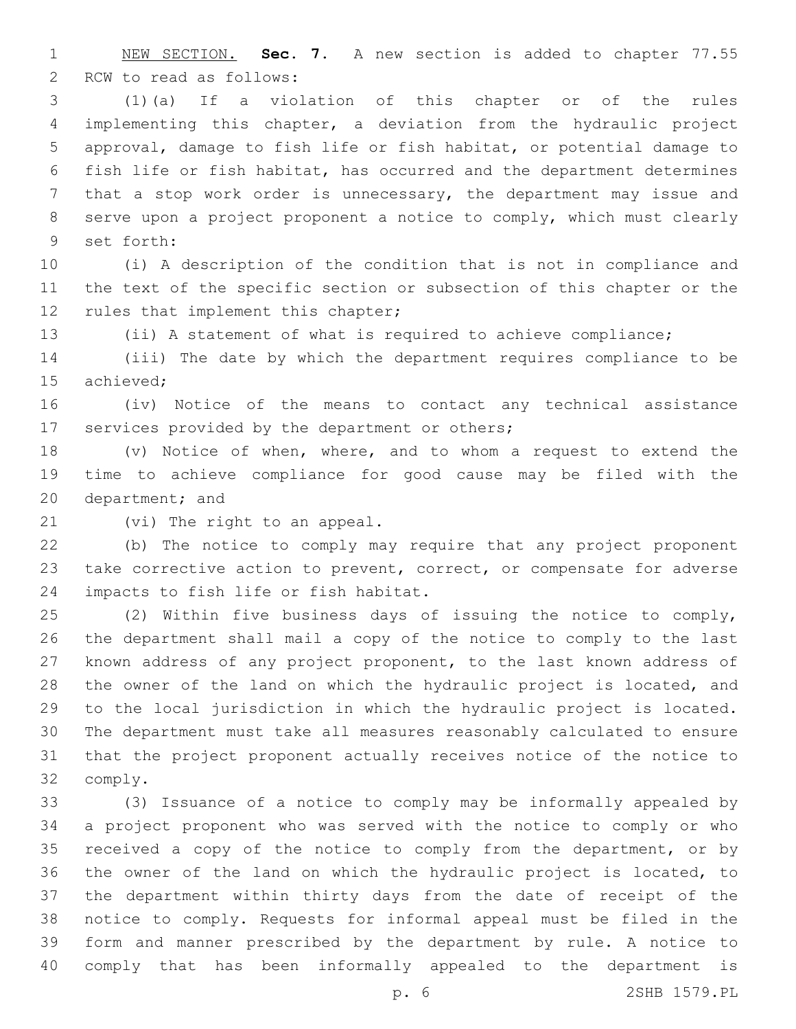NEW SECTION. **Sec. 7.** A new section is added to chapter 77.55 2 RCW to read as follows:

 (1)(a) If a violation of this chapter or of the rules implementing this chapter, a deviation from the hydraulic project approval, damage to fish life or fish habitat, or potential damage to fish life or fish habitat, has occurred and the department determines that a stop work order is unnecessary, the department may issue and serve upon a project proponent a notice to comply, which must clearly 9 set forth:

 (i) A description of the condition that is not in compliance and the text of the specific section or subsection of this chapter or the 12 rules that implement this chapter;

(ii) A statement of what is required to achieve compliance;

 (iii) The date by which the department requires compliance to be 15 achieved:

 (iv) Notice of the means to contact any technical assistance 17 services provided by the department or others;

 (v) Notice of when, where, and to whom a request to extend the time to achieve compliance for good cause may be filed with the 20 department; and

21 (vi) The right to an appeal.

 (b) The notice to comply may require that any project proponent take corrective action to prevent, correct, or compensate for adverse 24 impacts to fish life or fish habitat.

 (2) Within five business days of issuing the notice to comply, the department shall mail a copy of the notice to comply to the last known address of any project proponent, to the last known address of the owner of the land on which the hydraulic project is located, and to the local jurisdiction in which the hydraulic project is located. The department must take all measures reasonably calculated to ensure that the project proponent actually receives notice of the notice to comply.32

 (3) Issuance of a notice to comply may be informally appealed by a project proponent who was served with the notice to comply or who 35 received a copy of the notice to comply from the department, or by the owner of the land on which the hydraulic project is located, to the department within thirty days from the date of receipt of the notice to comply. Requests for informal appeal must be filed in the form and manner prescribed by the department by rule. A notice to comply that has been informally appealed to the department is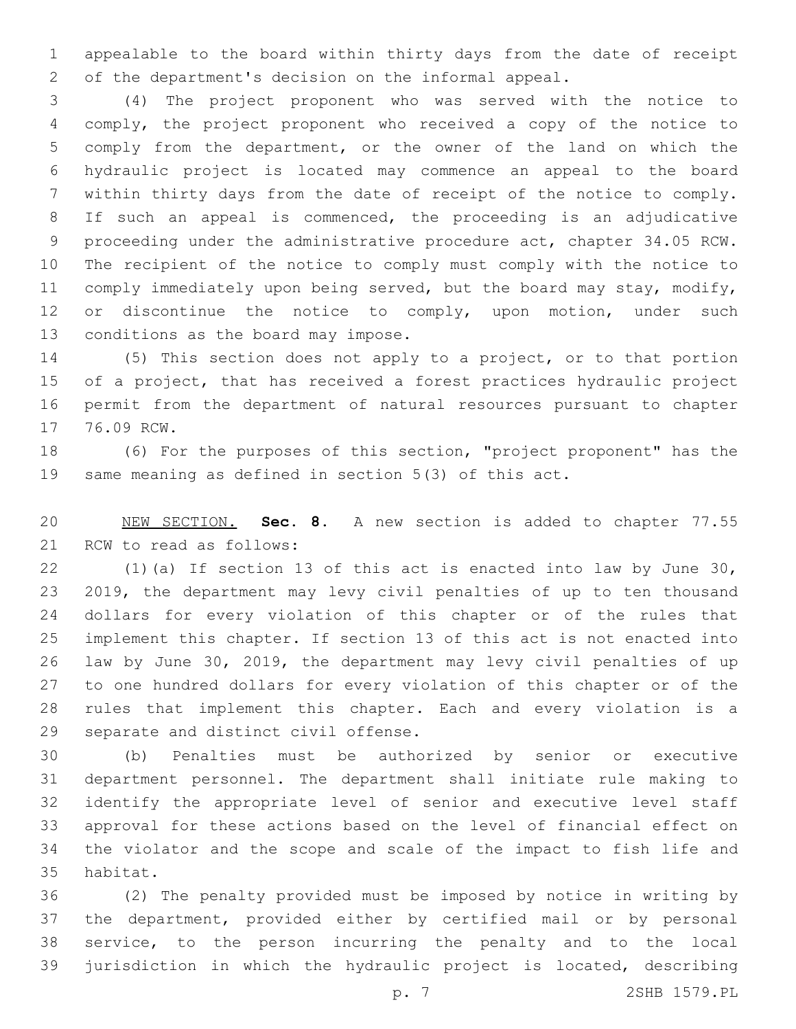appealable to the board within thirty days from the date of receipt of the department's decision on the informal appeal.

 (4) The project proponent who was served with the notice to comply, the project proponent who received a copy of the notice to comply from the department, or the owner of the land on which the hydraulic project is located may commence an appeal to the board within thirty days from the date of receipt of the notice to comply. If such an appeal is commenced, the proceeding is an adjudicative proceeding under the administrative procedure act, chapter 34.05 RCW. The recipient of the notice to comply must comply with the notice to 11 comply immediately upon being served, but the board may stay, modify, 12 or discontinue the notice to comply, upon motion, under such 13 conditions as the board may impose.

 (5) This section does not apply to a project, or to that portion 15 of a project, that has received a forest practices hydraulic project permit from the department of natural resources pursuant to chapter 17 76.09 RCW.

 (6) For the purposes of this section, "project proponent" has the same meaning as defined in section 5(3) of this act.

 NEW SECTION. **Sec. 8.** A new section is added to chapter 77.55 21 RCW to read as follows:

 (1)(a) If section 13 of this act is enacted into law by June 30, 2019, the department may levy civil penalties of up to ten thousand dollars for every violation of this chapter or of the rules that implement this chapter. If section 13 of this act is not enacted into law by June 30, 2019, the department may levy civil penalties of up to one hundred dollars for every violation of this chapter or of the rules that implement this chapter. Each and every violation is a 29 separate and distinct civil offense.

 (b) Penalties must be authorized by senior or executive department personnel. The department shall initiate rule making to identify the appropriate level of senior and executive level staff approval for these actions based on the level of financial effect on the violator and the scope and scale of the impact to fish life and 35 habitat.

 (2) The penalty provided must be imposed by notice in writing by the department, provided either by certified mail or by personal service, to the person incurring the penalty and to the local jurisdiction in which the hydraulic project is located, describing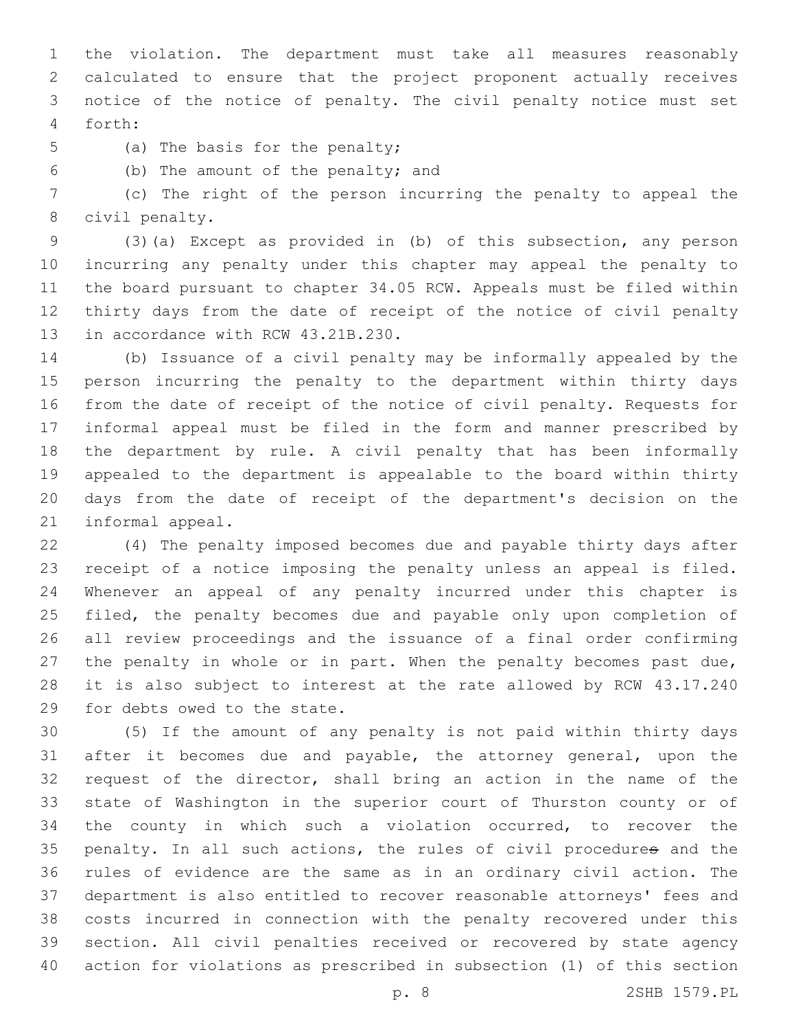the violation. The department must take all measures reasonably calculated to ensure that the project proponent actually receives notice of the notice of penalty. The civil penalty notice must set forth:4

5 (a) The basis for the penalty;

(b) The amount of the penalty; and6

 (c) The right of the person incurring the penalty to appeal the 8 civil penalty.

 (3)(a) Except as provided in (b) of this subsection, any person incurring any penalty under this chapter may appeal the penalty to the board pursuant to chapter 34.05 RCW. Appeals must be filed within thirty days from the date of receipt of the notice of civil penalty 13 in accordance with RCW 43.21B.230.

 (b) Issuance of a civil penalty may be informally appealed by the person incurring the penalty to the department within thirty days from the date of receipt of the notice of civil penalty. Requests for informal appeal must be filed in the form and manner prescribed by the department by rule. A civil penalty that has been informally appealed to the department is appealable to the board within thirty days from the date of receipt of the department's decision on the 21 informal appeal.

 (4) The penalty imposed becomes due and payable thirty days after receipt of a notice imposing the penalty unless an appeal is filed. Whenever an appeal of any penalty incurred under this chapter is 25 filed, the penalty becomes due and payable only upon completion of all review proceedings and the issuance of a final order confirming 27 the penalty in whole or in part. When the penalty becomes past due, it is also subject to interest at the rate allowed by RCW 43.17.240 29 for debts owed to the state.

 (5) If the amount of any penalty is not paid within thirty days after it becomes due and payable, the attorney general, upon the request of the director, shall bring an action in the name of the state of Washington in the superior court of Thurston county or of the county in which such a violation occurred, to recover the penalty. In all such actions, the rules of civil procedures and the rules of evidence are the same as in an ordinary civil action. The department is also entitled to recover reasonable attorneys' fees and costs incurred in connection with the penalty recovered under this section. All civil penalties received or recovered by state agency action for violations as prescribed in subsection (1) of this section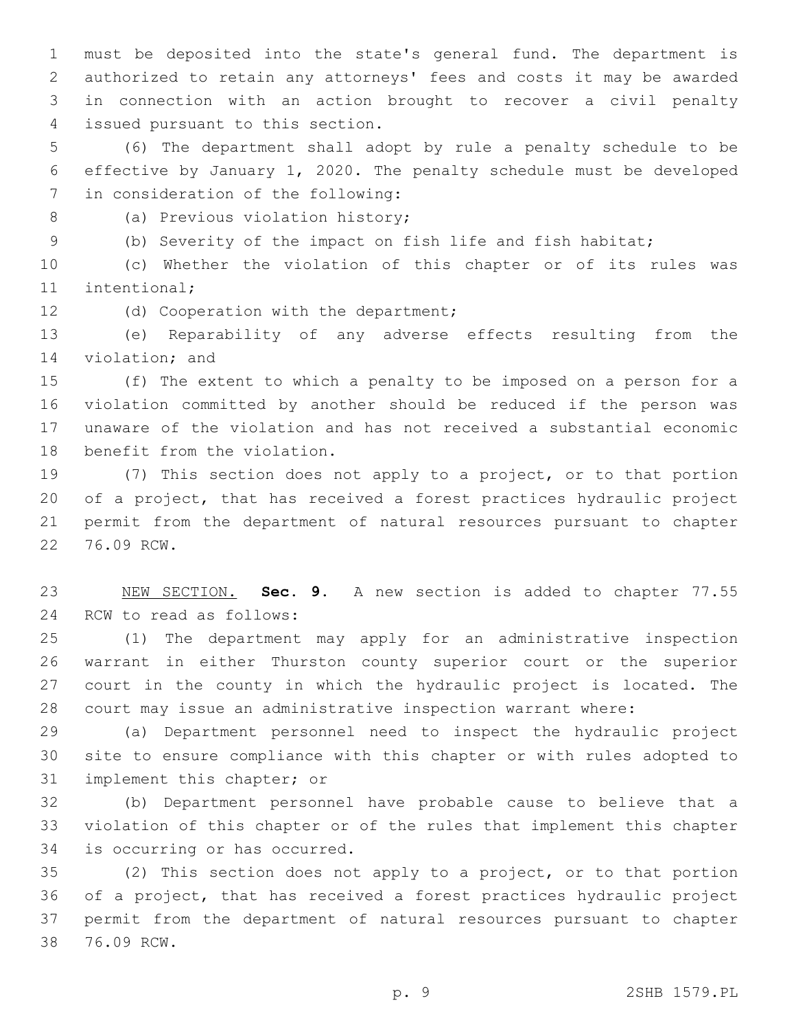must be deposited into the state's general fund. The department is authorized to retain any attorneys' fees and costs it may be awarded in connection with an action brought to recover a civil penalty issued pursuant to this section.4

 (6) The department shall adopt by rule a penalty schedule to be effective by January 1, 2020. The penalty schedule must be developed 7 in consideration of the following:

8 (a) Previous violation history;

(b) Severity of the impact on fish life and fish habitat;

 (c) Whether the violation of this chapter or of its rules was 11 intentional;

12 (d) Cooperation with the department;

 (e) Reparability of any adverse effects resulting from the 14 violation; and

 (f) The extent to which a penalty to be imposed on a person for a violation committed by another should be reduced if the person was unaware of the violation and has not received a substantial economic 18 benefit from the violation.

 (7) This section does not apply to a project, or to that portion of a project, that has received a forest practices hydraulic project permit from the department of natural resources pursuant to chapter 22 76.09 RCW.

 NEW SECTION. **Sec. 9.** A new section is added to chapter 77.55 24 RCW to read as follows:

 (1) The department may apply for an administrative inspection warrant in either Thurston county superior court or the superior court in the county in which the hydraulic project is located. The court may issue an administrative inspection warrant where:

 (a) Department personnel need to inspect the hydraulic project site to ensure compliance with this chapter or with rules adopted to 31 implement this chapter; or

 (b) Department personnel have probable cause to believe that a violation of this chapter or of the rules that implement this chapter 34 is occurring or has occurred.

 (2) This section does not apply to a project, or to that portion of a project, that has received a forest practices hydraulic project permit from the department of natural resources pursuant to chapter 38 76.09 RCW.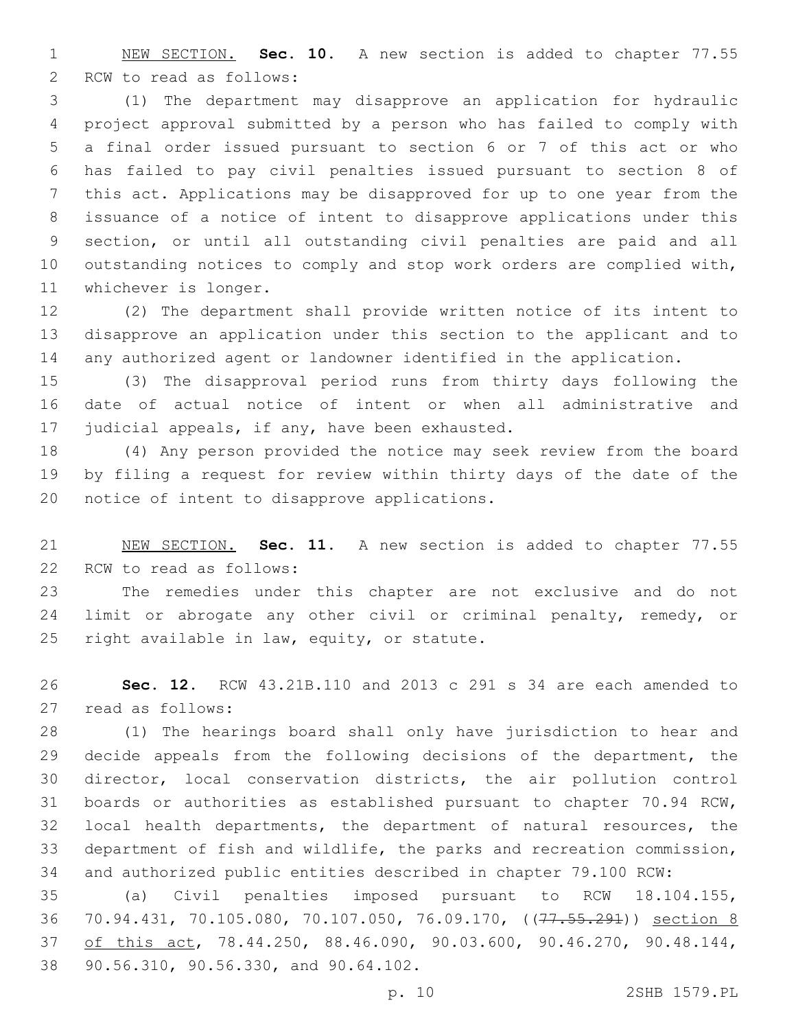NEW SECTION. **Sec. 10.** A new section is added to chapter 77.55 2 RCW to read as follows:

 (1) The department may disapprove an application for hydraulic project approval submitted by a person who has failed to comply with a final order issued pursuant to section 6 or 7 of this act or who has failed to pay civil penalties issued pursuant to section 8 of this act. Applications may be disapproved for up to one year from the issuance of a notice of intent to disapprove applications under this section, or until all outstanding civil penalties are paid and all outstanding notices to comply and stop work orders are complied with, 11 whichever is longer.

 (2) The department shall provide written notice of its intent to disapprove an application under this section to the applicant and to any authorized agent or landowner identified in the application.

 (3) The disapproval period runs from thirty days following the date of actual notice of intent or when all administrative and 17 judicial appeals, if any, have been exhausted.

 (4) Any person provided the notice may seek review from the board by filing a request for review within thirty days of the date of the 20 notice of intent to disapprove applications.

 NEW SECTION. **Sec. 11.** A new section is added to chapter 77.55 22 RCW to read as follows:

 The remedies under this chapter are not exclusive and do not 24 limit or abrogate any other civil or criminal penalty, remedy, or 25 right available in law, equity, or statute.

 **Sec. 12.** RCW 43.21B.110 and 2013 c 291 s 34 are each amended to read as follows:27

 (1) The hearings board shall only have jurisdiction to hear and decide appeals from the following decisions of the department, the director, local conservation districts, the air pollution control boards or authorities as established pursuant to chapter 70.94 RCW, local health departments, the department of natural resources, the department of fish and wildlife, the parks and recreation commission, and authorized public entities described in chapter 79.100 RCW:

 (a) Civil penalties imposed pursuant to RCW 18.104.155, 36 70.94.431, 70.105.080, 70.107.050, 76.09.170, ((77.55.291)) section 8 37 of this act, 78.44.250, 88.46.090, 90.03.600, 90.46.270, 90.48.144, 38 90.56.310, 90.56.330, and 90.64.102.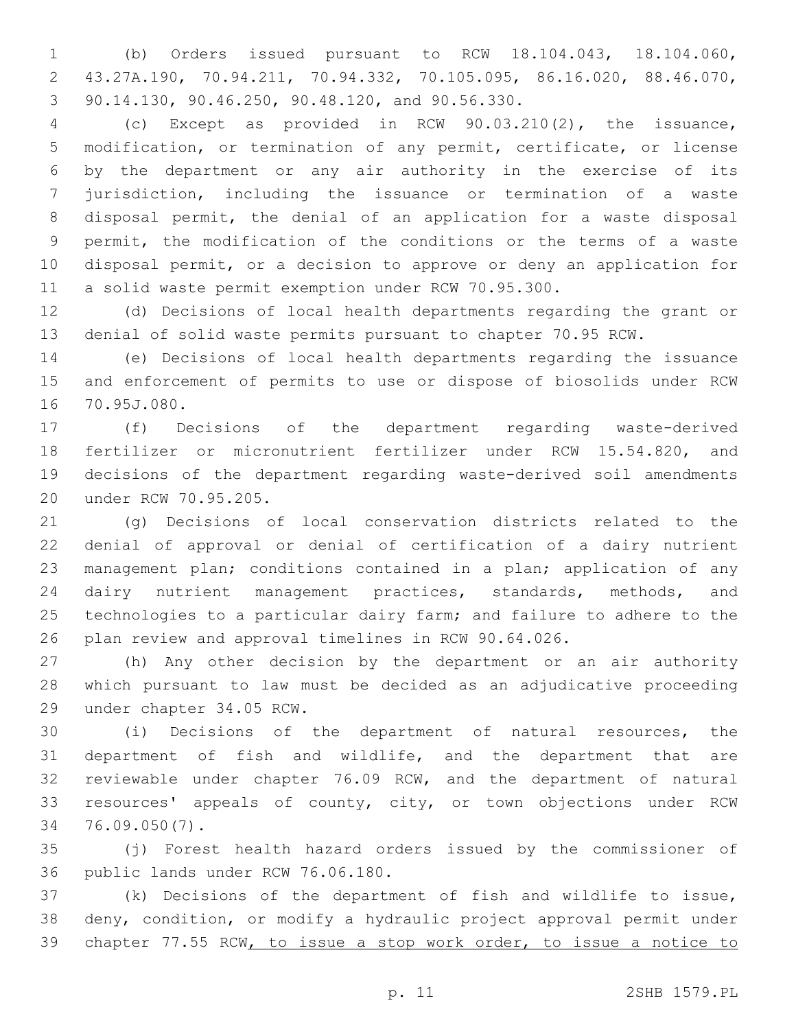(b) Orders issued pursuant to RCW 18.104.043, 18.104.060, 43.27A.190, 70.94.211, 70.94.332, 70.105.095, 86.16.020, 88.46.070, 3 90.14.130, 90.46.250, 90.48.120, and 90.56.330.

 (c) Except as provided in RCW 90.03.210(2), the issuance, modification, or termination of any permit, certificate, or license by the department or any air authority in the exercise of its jurisdiction, including the issuance or termination of a waste disposal permit, the denial of an application for a waste disposal permit, the modification of the conditions or the terms of a waste disposal permit, or a decision to approve or deny an application for a solid waste permit exemption under RCW 70.95.300.

 (d) Decisions of local health departments regarding the grant or denial of solid waste permits pursuant to chapter 70.95 RCW.

 (e) Decisions of local health departments regarding the issuance and enforcement of permits to use or dispose of biosolids under RCW 16 70.95J.080.

 (f) Decisions of the department regarding waste-derived fertilizer or micronutrient fertilizer under RCW 15.54.820, and decisions of the department regarding waste-derived soil amendments under RCW 70.95.205.20

 (g) Decisions of local conservation districts related to the denial of approval or denial of certification of a dairy nutrient management plan; conditions contained in a plan; application of any dairy nutrient management practices, standards, methods, and technologies to a particular dairy farm; and failure to adhere to the plan review and approval timelines in RCW 90.64.026.

 (h) Any other decision by the department or an air authority which pursuant to law must be decided as an adjudicative proceeding 29 under chapter 34.05 RCW.

 (i) Decisions of the department of natural resources, the department of fish and wildlife, and the department that are reviewable under chapter 76.09 RCW, and the department of natural resources' appeals of county, city, or town objections under RCW 76.09.050(7).34

 (j) Forest health hazard orders issued by the commissioner of 36 public lands under RCW 76.06.180.

 (k) Decisions of the department of fish and wildlife to issue, deny, condition, or modify a hydraulic project approval permit under chapter 77.55 RCW, to issue a stop work order, to issue a notice to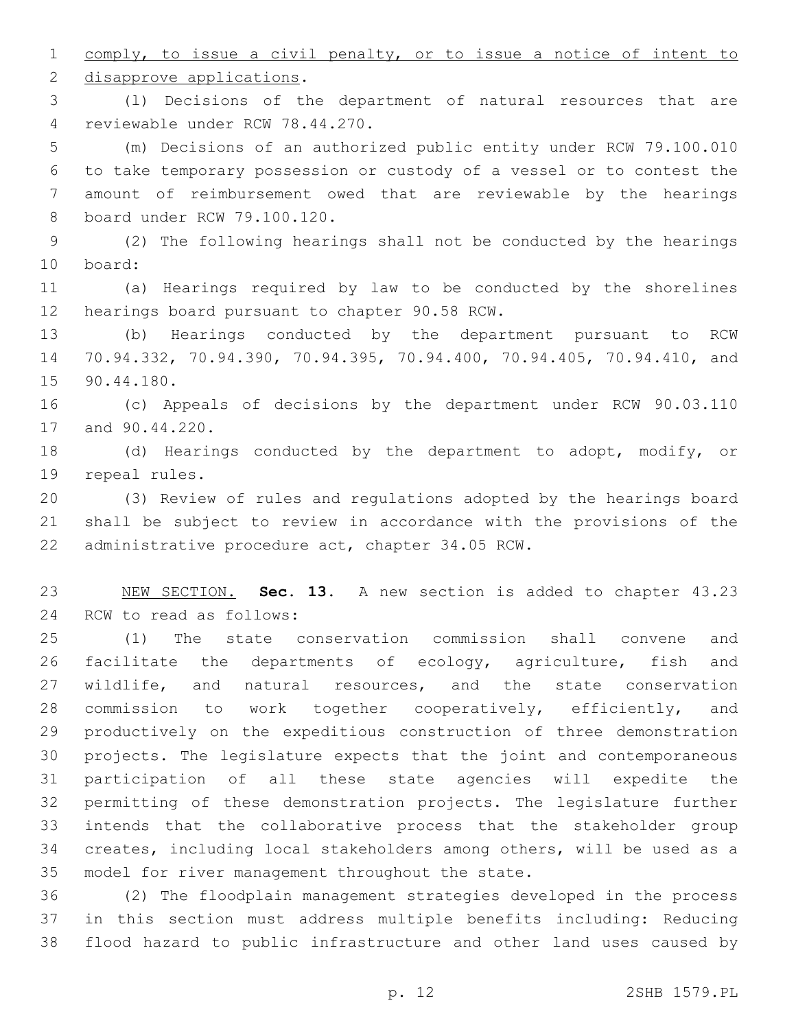comply, to issue a civil penalty, or to issue a notice of intent to 2 disapprove applications.

 (l) Decisions of the department of natural resources that are 4 reviewable under RCW 78.44.270.

 (m) Decisions of an authorized public entity under RCW 79.100.010 to take temporary possession or custody of a vessel or to contest the amount of reimbursement owed that are reviewable by the hearings 8 board under RCW 79.100.120.

 (2) The following hearings shall not be conducted by the hearings 10 board:

 (a) Hearings required by law to be conducted by the shorelines 12 hearings board pursuant to chapter 90.58 RCW.

 (b) Hearings conducted by the department pursuant to RCW 70.94.332, 70.94.390, 70.94.395, 70.94.400, 70.94.405, 70.94.410, and 15 90.44.180.

 (c) Appeals of decisions by the department under RCW 90.03.110 17 and 90.44.220.

 (d) Hearings conducted by the department to adopt, modify, or 19 repeal rules.

 (3) Review of rules and regulations adopted by the hearings board shall be subject to review in accordance with the provisions of the 22 administrative procedure act, chapter 34.05 RCW.

 NEW SECTION. **Sec. 13.** A new section is added to chapter 43.23 24 RCW to read as follows:

 (1) The state conservation commission shall convene and facilitate the departments of ecology, agriculture, fish and 27 wildlife, and natural resources, and the state conservation 28 commission to work together cooperatively, efficiently, and productively on the expeditious construction of three demonstration projects. The legislature expects that the joint and contemporaneous participation of all these state agencies will expedite the permitting of these demonstration projects. The legislature further intends that the collaborative process that the stakeholder group creates, including local stakeholders among others, will be used as a 35 model for river management throughout the state.

 (2) The floodplain management strategies developed in the process in this section must address multiple benefits including: Reducing flood hazard to public infrastructure and other land uses caused by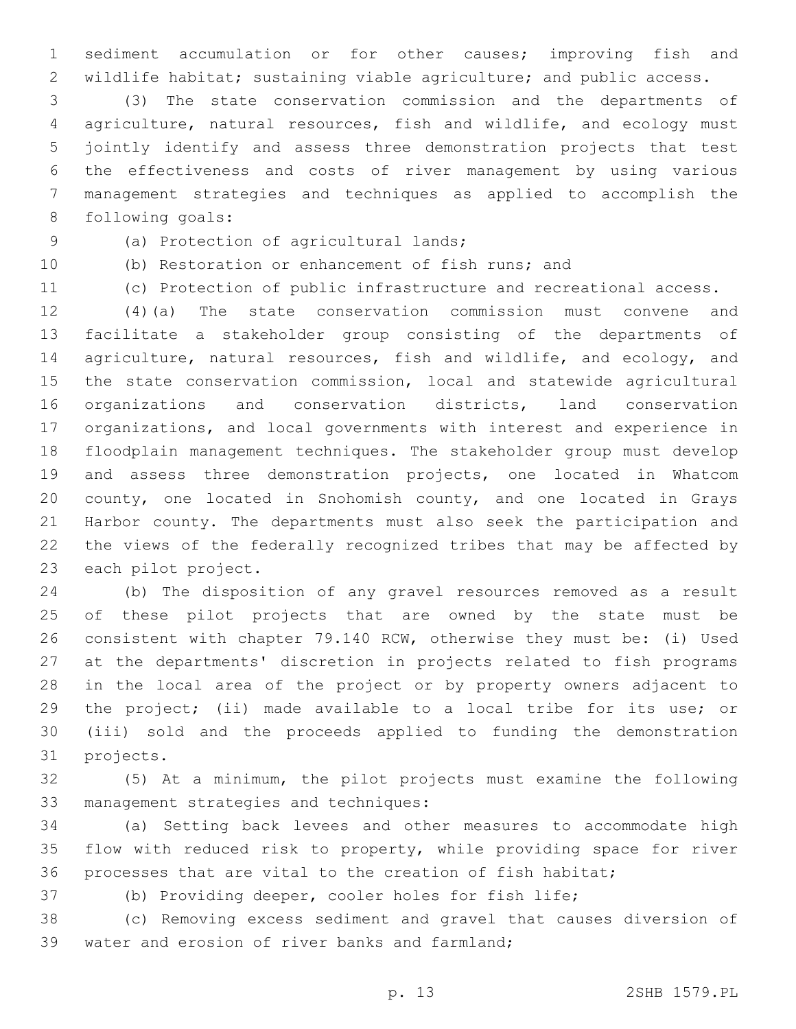sediment accumulation or for other causes; improving fish and 2 wildlife habitat; sustaining viable agriculture; and public access.

 (3) The state conservation commission and the departments of agriculture, natural resources, fish and wildlife, and ecology must jointly identify and assess three demonstration projects that test the effectiveness and costs of river management by using various management strategies and techniques as applied to accomplish the 8 following goals:

(a) Protection of agricultural lands;9

(b) Restoration or enhancement of fish runs; and

(c) Protection of public infrastructure and recreational access.

 (4)(a) The state conservation commission must convene and facilitate a stakeholder group consisting of the departments of agriculture, natural resources, fish and wildlife, and ecology, and the state conservation commission, local and statewide agricultural organizations and conservation districts, land conservation organizations, and local governments with interest and experience in floodplain management techniques. The stakeholder group must develop and assess three demonstration projects, one located in Whatcom county, one located in Snohomish county, and one located in Grays Harbor county. The departments must also seek the participation and the views of the federally recognized tribes that may be affected by 23 each pilot project.

 (b) The disposition of any gravel resources removed as a result of these pilot projects that are owned by the state must be consistent with chapter 79.140 RCW, otherwise they must be: (i) Used at the departments' discretion in projects related to fish programs in the local area of the project or by property owners adjacent to the project; (ii) made available to a local tribe for its use; or (iii) sold and the proceeds applied to funding the demonstration 31 projects.

 (5) At a minimum, the pilot projects must examine the following 33 management strategies and techniques:

 (a) Setting back levees and other measures to accommodate high flow with reduced risk to property, while providing space for river processes that are vital to the creation of fish habitat;

(b) Providing deeper, cooler holes for fish life;

 (c) Removing excess sediment and gravel that causes diversion of 39 water and erosion of river banks and farmland;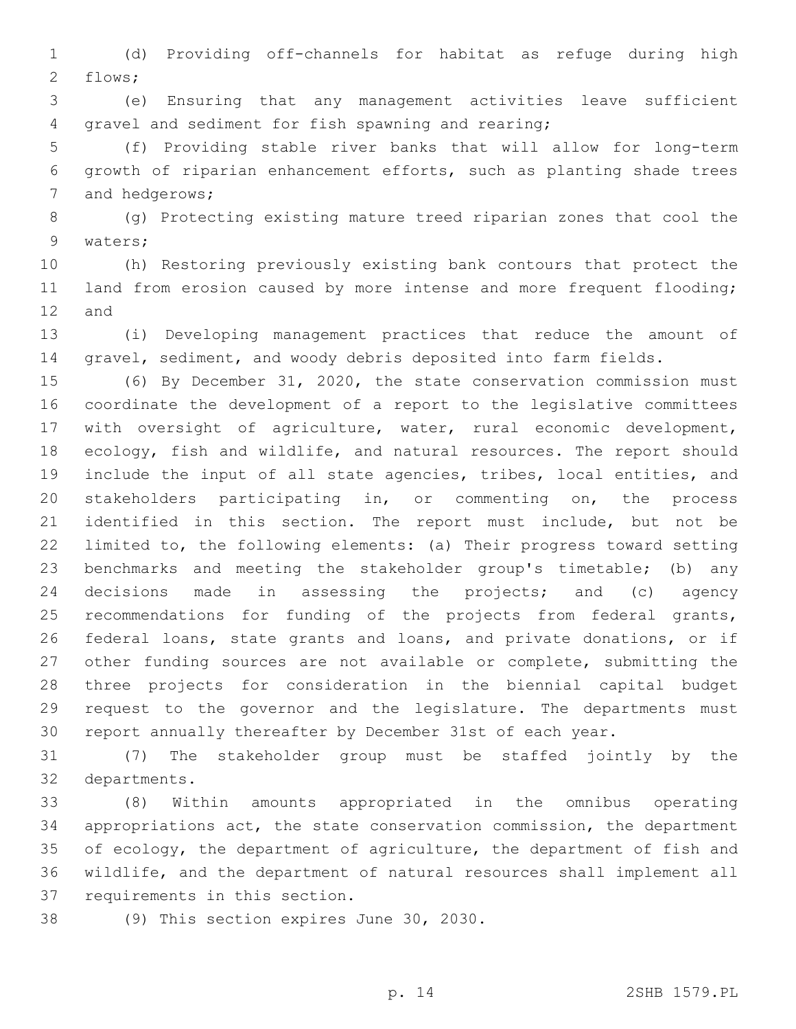(d) Providing off-channels for habitat as refuge during high 2 flows;

 (e) Ensuring that any management activities leave sufficient 4 gravel and sediment for fish spawning and rearing;

 (f) Providing stable river banks that will allow for long-term growth of riparian enhancement efforts, such as planting shade trees 7 and hedgerows;

 (g) Protecting existing mature treed riparian zones that cool the 9 waters;

 (h) Restoring previously existing bank contours that protect the 11 land from erosion caused by more intense and more frequent flooding; 12 and

 (i) Developing management practices that reduce the amount of gravel, sediment, and woody debris deposited into farm fields.

 (6) By December 31, 2020, the state conservation commission must coordinate the development of a report to the legislative committees with oversight of agriculture, water, rural economic development, ecology, fish and wildlife, and natural resources. The report should include the input of all state agencies, tribes, local entities, and stakeholders participating in, or commenting on, the process identified in this section. The report must include, but not be limited to, the following elements: (a) Their progress toward setting benchmarks and meeting the stakeholder group's timetable; (b) any decisions made in assessing the projects; and (c) agency recommendations for funding of the projects from federal grants, federal loans, state grants and loans, and private donations, or if other funding sources are not available or complete, submitting the three projects for consideration in the biennial capital budget request to the governor and the legislature. The departments must report annually thereafter by December 31st of each year.

 (7) The stakeholder group must be staffed jointly by the 32 departments.

 (8) Within amounts appropriated in the omnibus operating appropriations act, the state conservation commission, the department of ecology, the department of agriculture, the department of fish and wildlife, and the department of natural resources shall implement all requirements in this section.

38 (9) This section expires June 30, 2030.